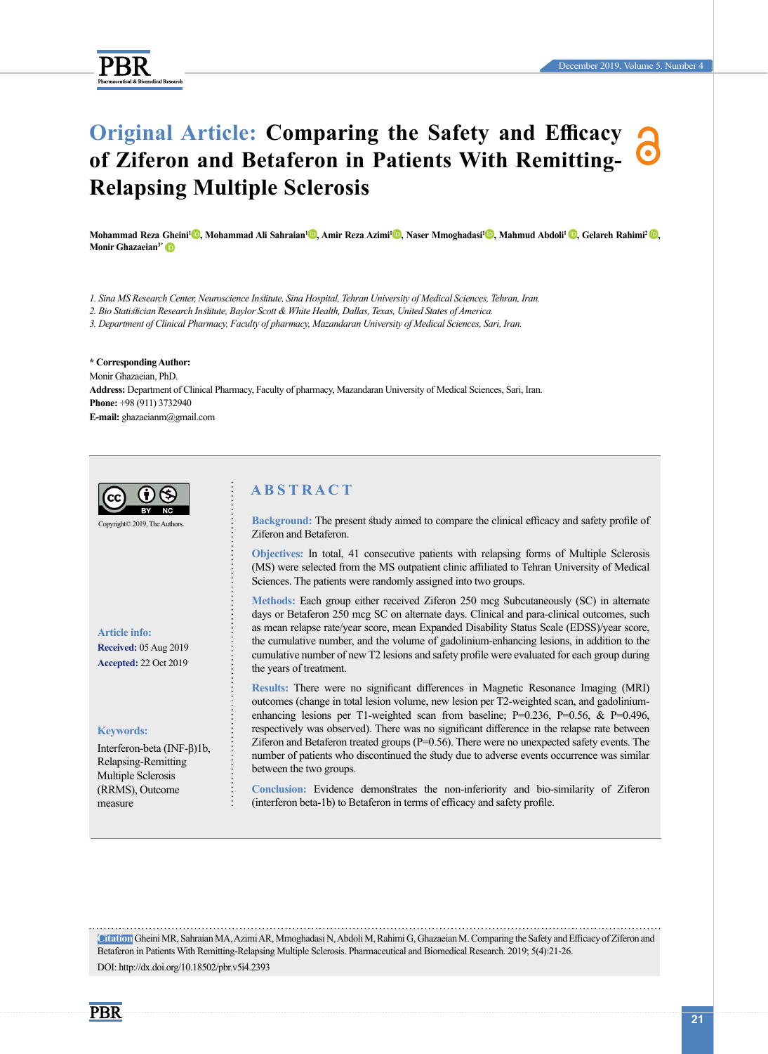

# **Original Article: Comparing the Safety and Efficacy of Ziferon and Betaferon in Patients With Remitting-Relapsing Multiple Sclerosis**

**Mohammad Reza [Ghe](http://orcid.org/0000-0001-7444-6732)ini1 [,](http://orcid.org/0000-0002-3593-6971) Mohammad Ali Sahraian1 [,](http://orcid.org/0000-0002-3224-8807) Amir Reza Azimi1 [,](http://orcid.org/0000-0002-0966-7114) Naser Mmoghadas[i1](http://orcid.org/0000-0002-8598-0911) , Mahmud Abdoli[1 ,](http://orcid.org/0000-0001-6308-4983) Gelareh Rahimi[2 ,](http://orcid.org/0000-0003-2648-5934)  Monir Ghazaeian3\***

*1. Sina MS Research Center, Neuroscience Institute, Sina Hospital, Tehran University of Medical Sciences, Tehran, Iran.*

*2. Bio Statistician Research Institute, Baylor Scott & White Health, Dallas, Texas, United States of America.*

*3. Department of Clinical Pharmacy, Faculty of pharmacy, Mazandaran University of Medical Sciences, Sari, Iran.*

**\* Corresponding Author:** Monir Ghazaeian, PhD. **Address:** Department of Clinical Pharmacy, Faculty of pharmacy, Mazandaran University of Medical Sciences, Sari, Iran. **Phone:** +98 (911) 3732940 **E-mail:** ghazaeianm@gmail.com



**Citation** Gheini MR, Sahraian MA, Azimi AR, Mmoghadasi N, Abdoli M, Rahimi G, Ghazaeian M. Comparing the Safety and Efficacy of Ziferon and Betaferon in Patients With Remitting-Relapsing Multiple Sclerosis. Pharmaceutical and Biomedical Research. 2019; 5(4):21-26. DOI: http://dx.doi.org/10.18502/pbr.v5i4.2393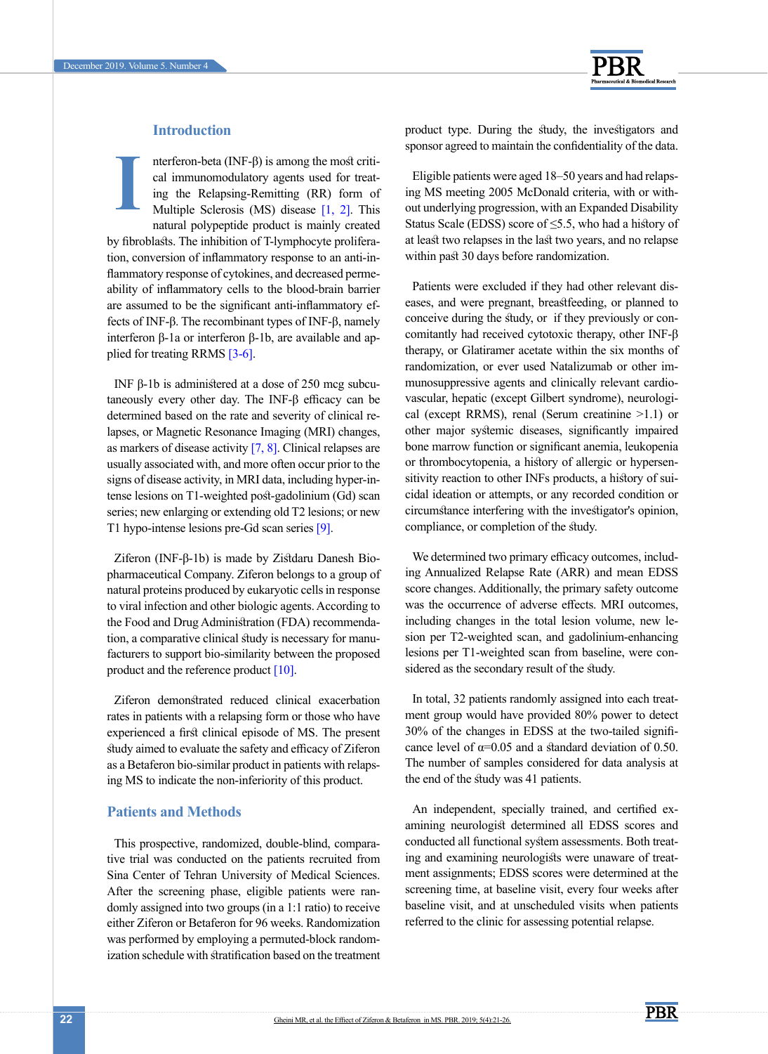

# **Introduction**

nterferon-beta (INF-β) is among the most critical immunomodulatory agents used for treating the Relapsing-Remitting (RR) form of Multiple Sclerosis (MS) disease [\[1,](#page-5-0) 2]. This natural polypeptide product is mainly created by fibroblasts. The inhibition of T-lymphocyte proliferation, conversion of inflammatory response to an anti-inflammatory response of cytokines, and decreased permeability of inflammatory cells to the blood-brain barrier are assumed to be the significant anti-inflammatory effects of INF-β. The recombinant types of INF-β, namely interferon β-1a or interferon β-1b, are available and applied for treating RRMS [3-6]. **I**

INF β-1b is administered at a dose of 250 mcg subcutaneously every other day. The INF-β efficacy can be determined based on the rate and severity of clinical relapses, or Magnetic Resonance Imaging (MRI) changes, as markers of disease activity  $[7, 8]$ . Clinical relapses are usually associated with, and more often occur prior to the signs of disease activity, in MRI data, including hyper-intense lesions on T1-weighted post-gadolinium (Gd) scan series; new enlarging or extending old T2 lesions; or new T1 hypo-intense lesions pre-Gd scan series [9].

Ziferon (INF-β-1b) is made by Zistdaru Danesh Biopharmaceutical Company. Ziferon belongs to a group of natural proteins produced by eukaryotic cells in response to viral infection and other biologic agents. According to the Food and Drug Administration (FDA) recommendation, a comparative clinical study is necessary for manufacturers to support bio-similarity between the proposed product and the reference product [\[10\]](#page-5-3).

Ziferon demonstrated reduced clinical exacerbation rates in patients with a relapsing form or those who have experienced a first clinical episode of MS. The present study aimed to evaluate the safety and efficacy of Ziferon as a Betaferon bio-similar product in patients with relapsing MS to indicate the non-inferiority of this product.

# **Patients and Methods**

This prospective, randomized, double-blind, comparative trial was conducted on the patients recruited from Sina Center of Tehran University of Medical Sciences. After the screening phase, eligible patients were randomly assigned into two groups (in a 1:1 ratio) to receive either Ziferon or Betaferon for 96 weeks. Randomization was performed by employing a permuted-block randomization schedule with stratification based on the treatment product type. During the study, the investigators and sponsor agreed to maintain the confidentiality of the data.

Eligible patients were aged 18–50 years and had relapsing MS meeting 2005 McDonald criteria, with or without underlying progression, with an Expanded Disability Status Scale (EDSS) score of  $\leq$ 5.5, who had a history of at least two relapses in the last two years, and no relapse within past 30 days before randomization.

Patients were excluded if they had other relevant diseases, and were pregnant, breastfeeding, or planned to conceive during the study, or if they previously or concomitantly had received cytotoxic therapy, other INF-β therapy, or Glatiramer acetate within the six months of randomization, or ever used Natalizumab or other immunosuppressive agents and clinically relevant cardiovascular, hepatic (except Gilbert syndrome), neurological (except RRMS), renal (Serum creatinine >1.1) or other major systemic diseases, significantly impaired bone marrow function or significant anemia, leukopenia or thrombocytopenia, a history of allergic or hypersensitivity reaction to other INFs products, a history of suicidal ideation or attempts, or any recorded condition or circumstance interfering with the investigator's opinion, compliance, or completion of the study.

We determined two primary efficacy outcomes, including Annualized Relapse Rate (ARR) and mean EDSS score changes. Additionally, the primary safety outcome was the occurrence of adverse effects. MRI outcomes, including changes in the total lesion volume, new lesion per T2-weighted scan, and gadolinium-enhancing lesions per T1-weighted scan from baseline, were considered as the secondary result of the study.

In total, 32 patients randomly assigned into each treatment group would have provided 80% power to detect 30% of the changes in EDSS at the two-tailed significance level of  $\alpha$ =0.05 and a standard deviation of 0.50. The number of samples considered for data analysis at the end of the study was 41 patients.

An independent, specially trained, and certified examining neurologist determined all EDSS scores and conducted all functional system assessments. Both treating and examining neurologists were unaware of treatment assignments; EDSS scores were determined at the screening time, at baseline visit, every four weeks after baseline visit, and at unscheduled visits when patients referred to the clinic for assessing potential relapse.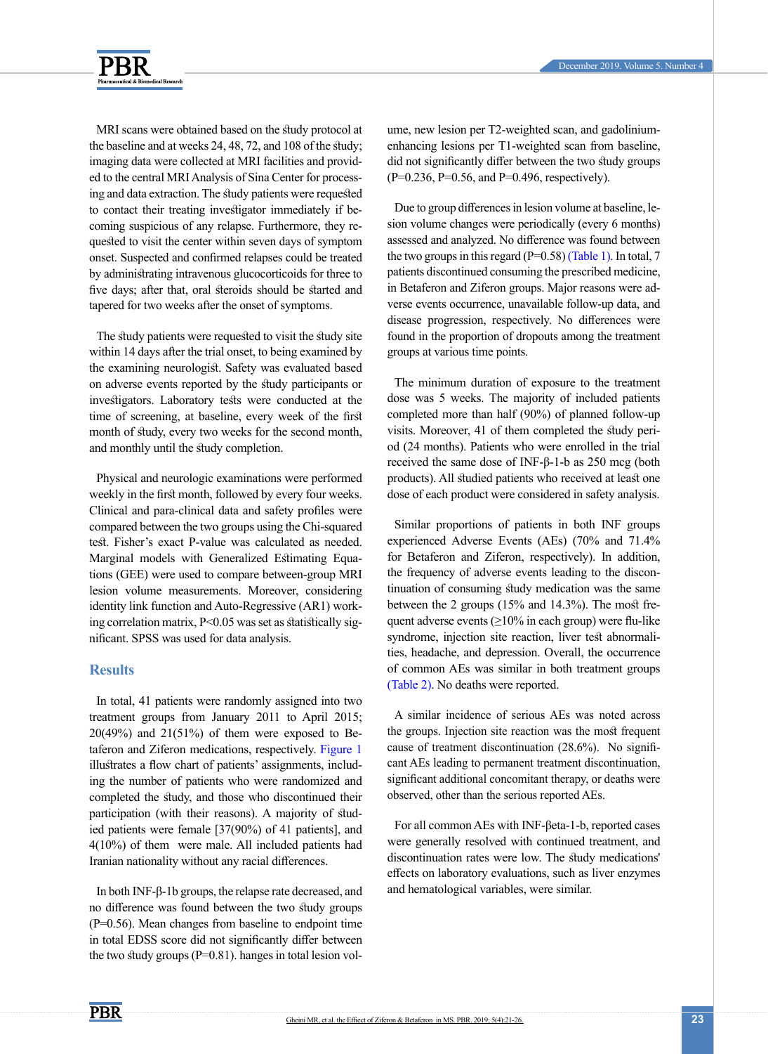



MRI scans were obtained based on the study protocol at the baseline and at weeks 24, 48, 72, and 108 of the study; imaging data were collected at MRI facilities and provided to the central MRI Analysis of Sina Center for processing and data extraction. The study patients were requested to contact their treating investigator immediately if becoming suspicious of any relapse. Furthermore, they requested to visit the center within seven days of symptom onset. Suspected and confirmed relapses could be treated by administrating intravenous glucocorticoids for three to five days; after that, oral steroids should be started and tapered for two weeks after the onset of symptoms.

The study patients were requested to visit the study site within 14 days after the trial onset, to being examined by the examining neurologist. Safety was evaluated based on adverse events reported by the study participants or investigators. Laboratory tests were conducted at the time of screening, at baseline, every week of the first month of study, every two weeks for the second month, and monthly until the study completion.

Physical and neurologic examinations were performed weekly in the first month, followed by every four weeks. Clinical and para-clinical data and safety profiles were compared between the two groups using the Chi-squared test. Fisher's exact P-value was calculated as needed. Marginal models with Generalized Estimating Equations (GEE) were used to compare between-group MRI lesion volume measurements. Moreover, considering identity link function and Auto-Regressive (AR1) working correlation matrix, P<0.05 was set as statistically significant. SPSS was used for data analysis.

# **Results**

In total, 41 patients were randomly assigned into two treatment groups from January 2011 to April 2015;  $20(49%)$  and  $21(51%)$  of them were exposed to Betaferon and Ziferon medications, respectively. [Figure 1](#page-3-0)  illustrates a flow chart of patients' assignments, including the number of patients who were randomized and completed the study, and those who discontinued their participation (with their reasons). A majority of studied patients were female [37(90%) of 41 patients], and 4(10%) of them were male. All included patients had Iranian nationality without any racial differences.

In both INF-β-1b groups, the relapse rate decreased, and no difference was found between the two study groups (P=0.56). Mean changes from baseline to endpoint time in total EDSS score did not significantly differ between the two study groups  $(P=0.81)$ . hanges in total lesion volume, new lesion per T2-weighted scan, and gadoliniumenhancing lesions per T1-weighted scan from baseline, did not significantly differ between the two study groups (P=0.236, P=0.56, and P=0.496, respectively).

Due to group differences in lesion volume at baseline, lesion volume changes were periodically (every 6 months) assessed and analyzed. No difference was found between the two groups in this regard  $(P=0.58)$  [\(Table 1\)](#page-3-1). In total, 7 patients discontinued consuming the prescribed medicine, in Betaferon and Ziferon groups. Major reasons were adverse events occurrence, unavailable follow-up data, and disease progression, respectively. No differences were found in the proportion of dropouts among the treatment groups at various time points.

The minimum duration of exposure to the treatment dose was 5 weeks. The majority of included patients completed more than half (90%) of planned follow-up visits. Moreover, 41 of them completed the study period (24 months). Patients who were enrolled in the trial received the same dose of INF-β-1-b as 250 mcg (both products). All studied patients who received at least one dose of each product were considered in safety analysis.

Similar proportions of patients in both INF groups experienced Adverse Events (AEs) (70% and 71.4% for Betaferon and Ziferon, respectively). In addition, the frequency of adverse events leading to the discontinuation of consuming study medication was the same between the 2 groups (15% and 14.3%). The most frequent adverse events  $(\geq 10\%$  in each group) were flu-like syndrome, injection site reaction, liver test abnormalities, headache, and depression. Overall, the occurrence of common AEs was similar in both treatment groups [\(Table 2\)](#page-4-0). No deaths were reported.

A similar incidence of serious AEs was noted across the groups. Injection site reaction was the most frequent cause of treatment discontinuation (28.6%). No significant AEs leading to permanent treatment discontinuation, significant additional concomitant therapy, or deaths were observed, other than the serious reported AEs.

For all common AEs with INF-βeta-1-b, reported cases were generally resolved with continued treatment, and discontinuation rates were low. The study medications' effects on laboratory evaluations, such as liver enzymes and hematological variables, were similar.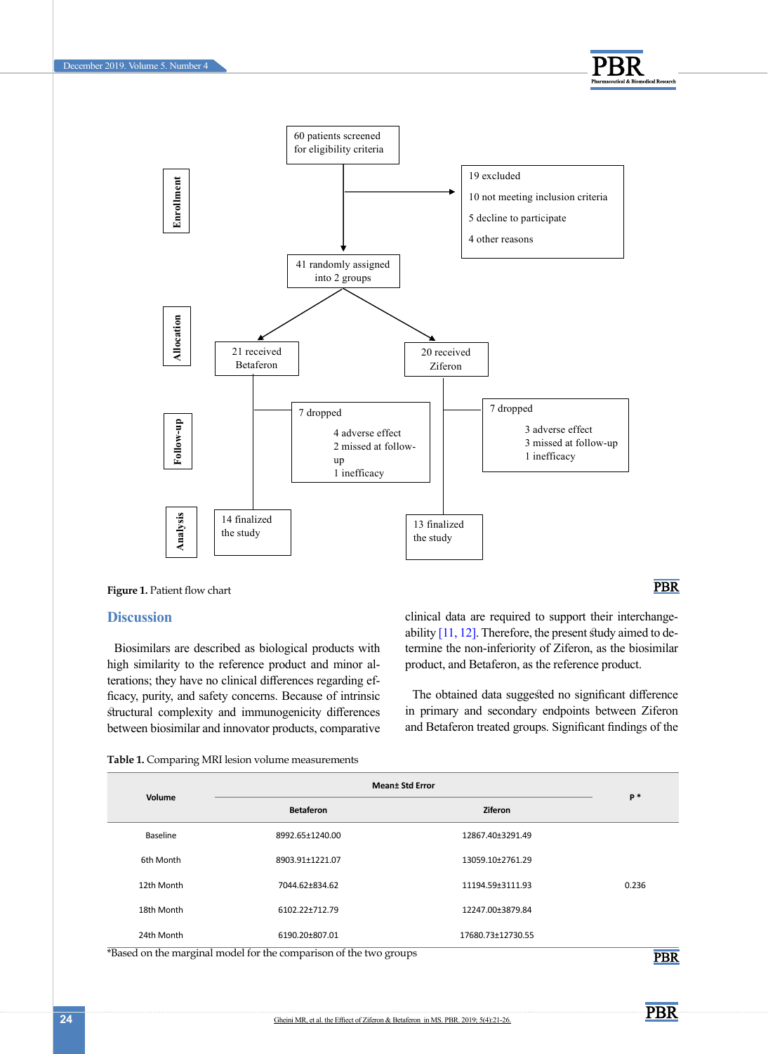



<span id="page-3-0"></span>

## **Discussion**

Biosimilars are described as biological products with high similarity to the reference product and minor alterations; they have no clinical differences regarding efficacy, purity, and safety concerns. Because of intrinsic structural complexity and immunogenicity differences between biosimilar and innovator products, comparative clinical data are required to support their interchange-ability [\[11,](#page-5-4) [12\].](#page-5-5) Therefore, the present study aimed to determine the non-inferiority of Ziferon, as the biosimilar product, and Betaferon, as the reference product.

The obtained data suggested no significant difference in primary and secondary endpoints between Ziferon and Betaferon treated groups. Significant findings of the

<span id="page-3-1"></span>

| Table 1. Comparing MRI lesion volume measurements |
|---------------------------------------------------|
|---------------------------------------------------|

| Volume     | <b>Mean</b> ± Std Error |                   |       |
|------------|-------------------------|-------------------|-------|
|            | <b>Betaferon</b>        | <b>Ziferon</b>    | $P*$  |
| Baseline   | 8992.65±1240.00         | 12867.40±3291.49  |       |
| 6th Month  | 8903.91±1221.07         | 13059.10±2761.29  |       |
| 12th Month | 7044.62±834.62          | 11194.59±3111.93  | 0.236 |
| 18th Month | 6102.22±712.79          | 12247.00±3879.84  |       |
| 24th Month | 6190.20±807.01          | 17680.73±12730.55 |       |

\*Based on the marginal model for the comparison of the two groups

**PBR** 

**PBR** 

**PBR**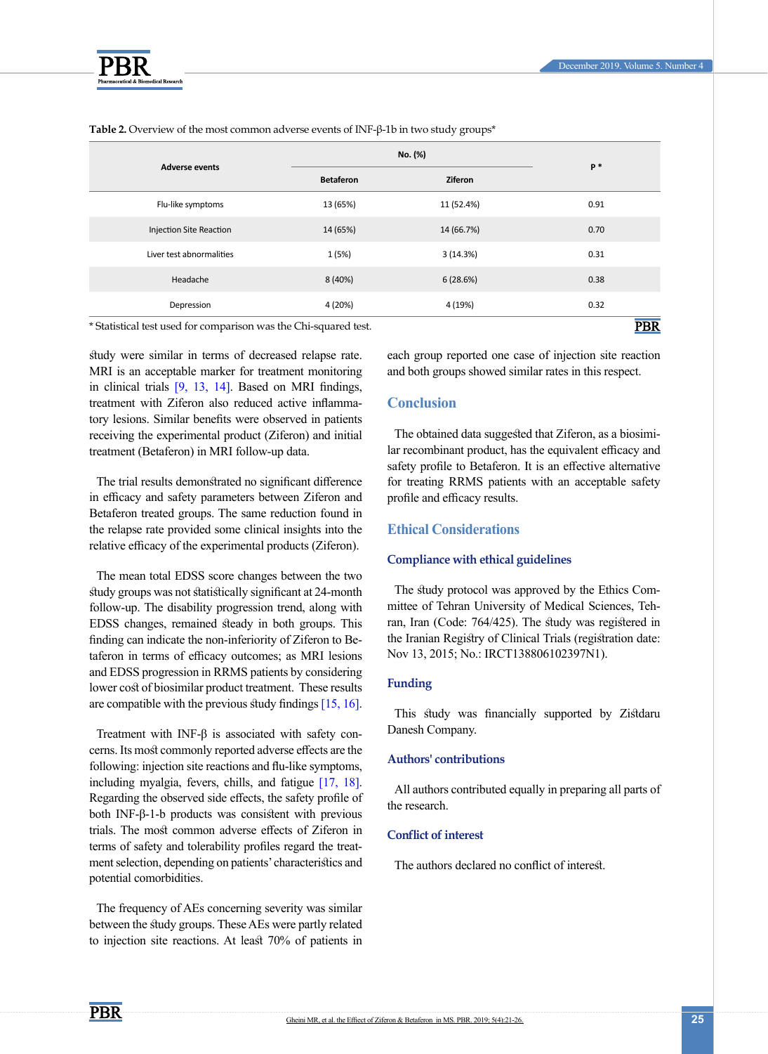

| <b>Adverse events</b>                                            | No. (%)          |            | $P*$ |
|------------------------------------------------------------------|------------------|------------|------|
|                                                                  | <b>Betaferon</b> | Ziferon    |      |
| Flu-like symptoms                                                | 13 (65%)         | 11 (52.4%) | 0.91 |
| <b>Injection Site Reaction</b>                                   | 14 (65%)         | 14 (66.7%) | 0.70 |
| Liver test abnormalities                                         | 1(5%)            | 3(14.3%)   | 0.31 |
| Headache                                                         | 8 (40%)          | 6(28.6%)   | 0.38 |
| Depression                                                       | 4 (20%)          | 4 (19%)    | 0.32 |
| * Statistical test used for comparison was the Chi-squared test. | PBR              |            |      |

<span id="page-4-0"></span>**Table 2.** Overview of the most common adverse events of INF-β-1b in two study groups\*

\* Statistical test used for comparison was the Chi-squared test.

study were similar in terms of decreased relapse rate. MRI is an acceptable marker for treatment monitoring in clinical trials [9, 13, 14]. Based on MRI findings, treatment with Ziferon also reduced active inflammatory lesions. Similar benefits were observed in patients receiving the experimental product (Ziferon) and initial treatment (Betaferon) in MRI follow-up data.

The trial results demonstrated no significant difference in efficacy and safety parameters between Ziferon and Betaferon treated groups. The same reduction found in the relapse rate provided some clinical insights into the relative efficacy of the experimental products (Ziferon).

The mean total EDSS score changes between the two study groups was not statistically significant at 24-month follow-up. The disability progression trend, along with EDSS changes, remained steady in both groups. This finding can indicate the non-inferiority of Ziferon to Betaferon in terms of efficacy outcomes; as MRI lesions and EDSS progression in RRMS patients by considering lower cost of biosimilar product treatment. These results are compatible with the previous study findings [15, 16].

Treatment with INF-β is associated with safety concerns. Its most commonly reported adverse effects are the following: injection site reactions and flu-like symptoms, including myalgia, fevers, chills, and fatigue [\[17,](#page-5-6) [18\]](#page-5-7). Regarding the observed side effects, the safety profile of both INF-β-1-b products was consistent with previous trials. The most common adverse effects of Ziferon in terms of safety and tolerability profiles regard the treatment selection, depending on patients' characteristics and potential comorbidities.

The frequency of AEs concerning severity was similar between the study groups. These AEs were partly related to injection site reactions. At least 70% of patients in each group reported one case of injection site reaction and both groups showed similar rates in this respect.

# **Conclusion**

The obtained data suggested that Ziferon, as a biosimilar recombinant product, has the equivalent efficacy and safety profile to Betaferon. It is an effective alternative for treating RRMS patients with an acceptable safety profile and efficacy results.

## **Ethical Considerations**

## **Compliance with ethical guidelines**

The study protocol was approved by the Ethics Committee of Tehran University of Medical Sciences, Tehran, Iran (Code: 764/425). The study was registered in the Iranian Registry of Clinical Trials (registration date: Nov 13, 2015; No.: IRCT138806102397N1).

## **Funding**

This study was financially supported by Zistdaru Danesh Company.

## **Authors' contributions**

All authors contributed equally in preparing all parts of the research.

## **Conflict of interest**

The authors declared no conflict of interest.